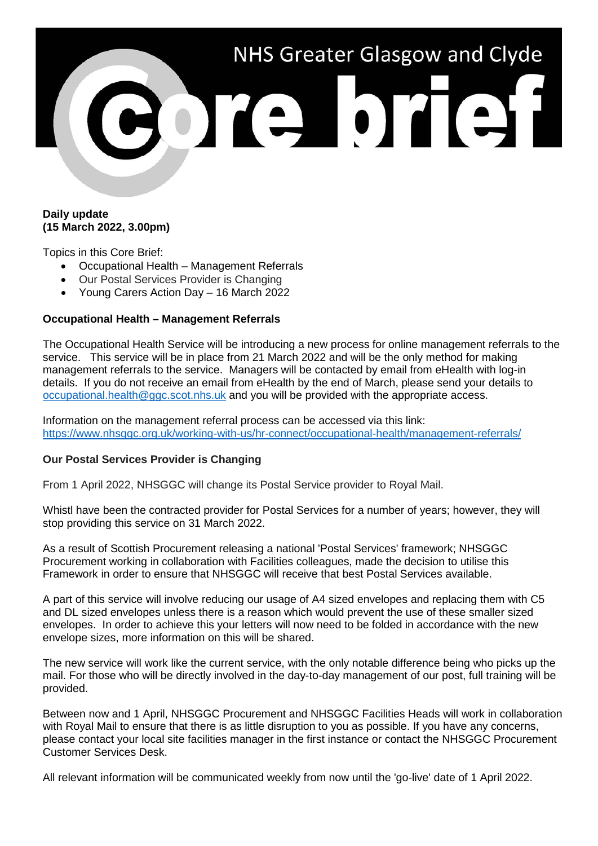

## **Daily update (15 March 2022, 3.00pm)**

Topics in this Core Brief:

- Occupational Health Management Referrals
- Our Postal Services Provider is Changing
- Young Carers Action Day 16 March 2022

## **Occupational Health – Management Referrals**

The Occupational Health Service will be introducing a new process for online management referrals to the service. This service will be in place from 21 March 2022 and will be the only method for making management referrals to the service. Managers will be contacted by email from eHealth with log-in details. If you do not receive an email from eHealth by the end of March, please send your details to [occupational.health@ggc.scot.nhs.uk](mailto:occupational.health@ggc.scot.nhs.uk) and you will be provided with the appropriate access.

Information on the management referral process can be accessed via this link: <https://www.nhsggc.org.uk/working-with-us/hr-connect/occupational-health/management-referrals/>

## **Our Postal Services Provider is Changing**

From 1 April 2022, NHSGGC will change its Postal Service provider to Royal Mail.

Whistl have been the contracted provider for Postal Services for a number of years; however, they will stop providing this service on 31 March 2022.

As a result of Scottish Procurement releasing a national 'Postal Services' framework; NHSGGC Procurement working in collaboration with Facilities colleagues, made the decision to utilise this Framework in order to ensure that NHSGGC will receive that best Postal Services available.

A part of this service will involve reducing our usage of A4 sized envelopes and replacing them with C5 and DL sized envelopes unless there is a reason which would prevent the use of these smaller sized envelopes. In order to achieve this your letters will now need to be folded in accordance with the new envelope sizes, more information on this will be shared.

The new service will work like the current service, with the only notable difference being who picks up the mail. For those who will be directly involved in the day-to-day management of our post, full training will be provided.

Between now and 1 April, NHSGGC Procurement and NHSGGC Facilities Heads will work in collaboration with Royal Mail to ensure that there is as little disruption to you as possible. If you have any concerns, please contact your local site facilities manager in the first instance or contact the NHSGGC Procurement Customer Services Desk.

All relevant information will be communicated weekly from now until the 'go-live' date of 1 April 2022.